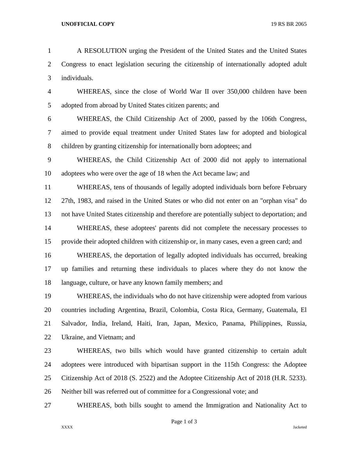A RESOLUTION urging the President of the United States and the United States Congress to enact legislation securing the citizenship of internationally adopted adult individuals.

- WHEREAS, since the close of World War II over 350,000 children have been adopted from abroad by United States citizen parents; and
- WHEREAS, the Child Citizenship Act of 2000, passed by the 106th Congress, aimed to provide equal treatment under United States law for adopted and biological children by granting citizenship for internationally born adoptees; and
- WHEREAS, the Child Citizenship Act of 2000 did not apply to international adoptees who were over the age of 18 when the Act became law; and
- WHEREAS, tens of thousands of legally adopted individuals born before February 27th, 1983, and raised in the United States or who did not enter on an "orphan visa" do not have United States citizenship and therefore are potentially subject to deportation; and WHEREAS, these adoptees' parents did not complete the necessary processes to provide their adopted children with citizenship or, in many cases, even a green card; and WHEREAS, the deportation of legally adopted individuals has occurred, breaking up families and returning these individuals to places where they do not know the
- language, culture, or have any known family members; and

 WHEREAS, the individuals who do not have citizenship were adopted from various countries including Argentina, Brazil, Colombia, Costa Rica, Germany, Guatemala, El Salvador, India, Ireland, Haiti, Iran, Japan, Mexico, Panama, Philippines, Russia, Ukraine, and Vietnam; and

- WHEREAS, two bills which would have granted citizenship to certain adult adoptees were introduced with bipartisan support in the 115th Congress: the Adoptee Citizenship Act of 2018 (S. 2522) and the Adoptee Citizenship Act of 2018 (H.R. 5233). Neither bill was referred out of committee for a Congressional vote; and
- WHEREAS, both bills sought to amend the Immigration and Nationality Act to

Page 1 of 3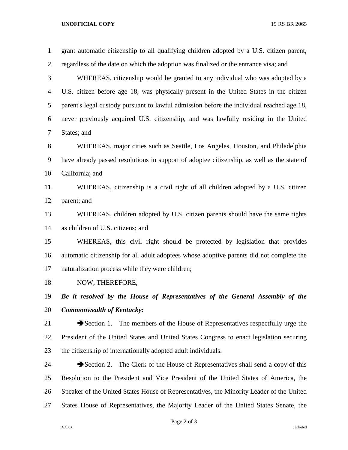## **UNOFFICIAL COPY** 19 RS BR 2065

| $\mathbf{1}$ | grant automatic citizenship to all qualifying children adopted by a U.S. citizen parent,           |
|--------------|----------------------------------------------------------------------------------------------------|
| 2            | regardless of the date on which the adoption was finalized or the entrance visa; and               |
| 3            | WHEREAS, citizenship would be granted to any individual who was adopted by a                       |
| 4            | U.S. citizen before age 18, was physically present in the United States in the citizen             |
| 5            | parent's legal custody pursuant to lawful admission before the individual reached age 18,          |
| 6            | never previously acquired U.S. citizenship, and was lawfully residing in the United                |
| 7            | States; and                                                                                        |
| 8            | WHEREAS, major cities such as Seattle, Los Angeles, Houston, and Philadelphia                      |
| 9            | have already passed resolutions in support of adoptee citizenship, as well as the state of         |
| 10           | California; and                                                                                    |
| 11           | WHEREAS, citizenship is a civil right of all children adopted by a U.S. citizen                    |
| 12           | parent; and                                                                                        |
| 13           | WHEREAS, children adopted by U.S. citizen parents should have the same rights                      |
| 14           | as children of U.S. citizens; and                                                                  |
| 15           | WHEREAS, this civil right should be protected by legislation that provides                         |
| 16           | automatic citizenship for all adult adoptees whose adoptive parents did not complete the           |
| 17           | naturalization process while they were children;                                                   |
| 18           | NOW, THEREFORE,                                                                                    |
| 19           | Be it resolved by the House of Representatives of the General Assembly of the                      |
| 20           | <b>Commonwealth of Kentucky:</b>                                                                   |
| 21           | $\blacktriangleright$ Section 1. The members of the House of Representatives respectfully urge the |
| 22           | President of the United States and United States Congress to enact legislation securing            |
| 23           | the citizenship of internationally adopted adult individuals.                                      |
| 24           | Section 2. The Clerk of the House of Representatives shall send a copy of this                     |
| 25           | Resolution to the President and Vice President of the United States of America, the                |
| 26           | Speaker of the United States House of Representatives, the Minority Leader of the United           |
| 27           | States House of Representatives, the Majority Leader of the United States Senate, the              |

Page 2 of 3